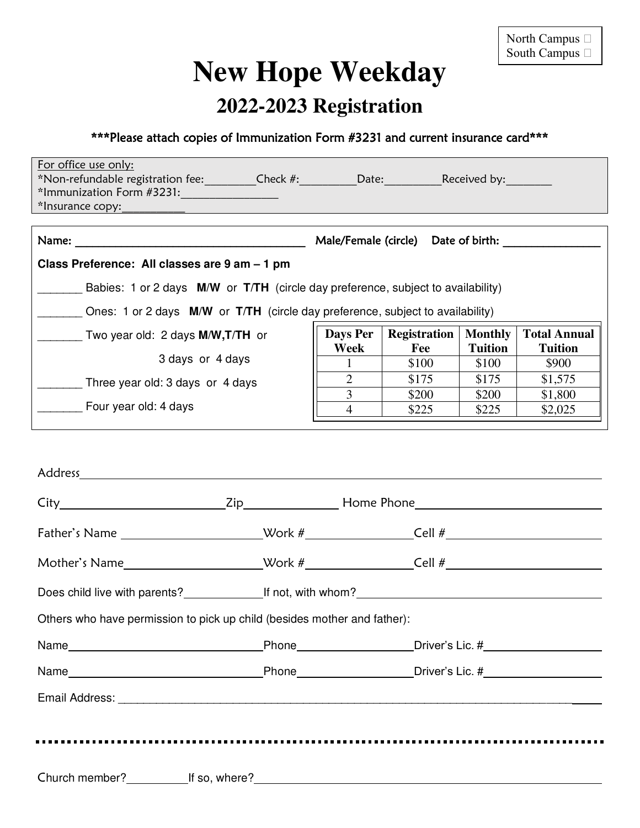## **New Hope Weekday**

## **2022-2023 Registration**

## \*\*\*Please attach copies of Immunization Form #3231 and current insurance card\*\*\*

| For office use only:<br>*Non-refundable registration fee:__________Check #:_________Date:__________Received by:________<br>*Immunization Form #3231:<br>*Insurance copy: example and a series of the series of the series of the series of the series of the series of the series of the series of the series of the series of the series of the series of the series of the series of |                                     |                     |                |                     |  |  |  |
|----------------------------------------------------------------------------------------------------------------------------------------------------------------------------------------------------------------------------------------------------------------------------------------------------------------------------------------------------------------------------------------|-------------------------------------|---------------------|----------------|---------------------|--|--|--|
|                                                                                                                                                                                                                                                                                                                                                                                        | Male/Female (circle) Date of birth: |                     |                |                     |  |  |  |
| Class Preference: All classes are 9 am - 1 pm                                                                                                                                                                                                                                                                                                                                          |                                     |                     |                |                     |  |  |  |
| Babies: 1 or 2 days M/W or T/TH (circle day preference, subject to availability)                                                                                                                                                                                                                                                                                                       |                                     |                     |                |                     |  |  |  |
| Ones: 1 or 2 days M/W or T/TH (circle day preference, subject to availability)                                                                                                                                                                                                                                                                                                         |                                     |                     |                |                     |  |  |  |
| Two year old: 2 days M/W, T/TH or                                                                                                                                                                                                                                                                                                                                                      | Days Per                            | <b>Registration</b> | <b>Monthly</b> | <b>Total Annual</b> |  |  |  |
|                                                                                                                                                                                                                                                                                                                                                                                        | Week                                | Fee                 | <b>Tuition</b> | <b>Tuition</b>      |  |  |  |
| 3 days or 4 days                                                                                                                                                                                                                                                                                                                                                                       |                                     | \$100               | \$100          | \$900               |  |  |  |
| Three year old: 3 days or 4 days                                                                                                                                                                                                                                                                                                                                                       | $\overline{2}$                      | \$175               | \$175          | \$1,575             |  |  |  |
|                                                                                                                                                                                                                                                                                                                                                                                        | 3                                   | \$200               | \$200          | \$1,800             |  |  |  |
| Four year old: 4 days                                                                                                                                                                                                                                                                                                                                                                  | 4                                   | \$225               | \$225          | \$2,025             |  |  |  |
| Address                                                                                                                                                                                                                                                                                                                                                                                |                                     |                     |                |                     |  |  |  |
| Zip<br>City                                                                                                                                                                                                                                                                                                                                                                            | Home Phone                          |                     |                |                     |  |  |  |

| Others who have permission to pick up child (besides mother and father): |  |                                                                                                                                                                                                                                                                       |  |  |  |  |  |
|--------------------------------------------------------------------------|--|-----------------------------------------------------------------------------------------------------------------------------------------------------------------------------------------------------------------------------------------------------------------------|--|--|--|--|--|
|                                                                          |  | Name <b>Name Confluence</b> Phone <b>Confluence</b> Phone <b>Confluence</b> Driver's Lic. # <b>Confluence</b> Driver's Lic. # <b>Confluence</b> Driver's Lic. # <b>Confluence</b> Driver's Lic. # <b>Confluence</b> Driver's Lic. # <b>Confluence</b> Driver's Lic. # |  |  |  |  |  |
|                                                                          |  |                                                                                                                                                                                                                                                                       |  |  |  |  |  |
|                                                                          |  |                                                                                                                                                                                                                                                                       |  |  |  |  |  |
|                                                                          |  |                                                                                                                                                                                                                                                                       |  |  |  |  |  |
|                                                                          |  |                                                                                                                                                                                                                                                                       |  |  |  |  |  |
|                                                                          |  | Church member? If so, where?                                                                                                                                                                                                                                          |  |  |  |  |  |